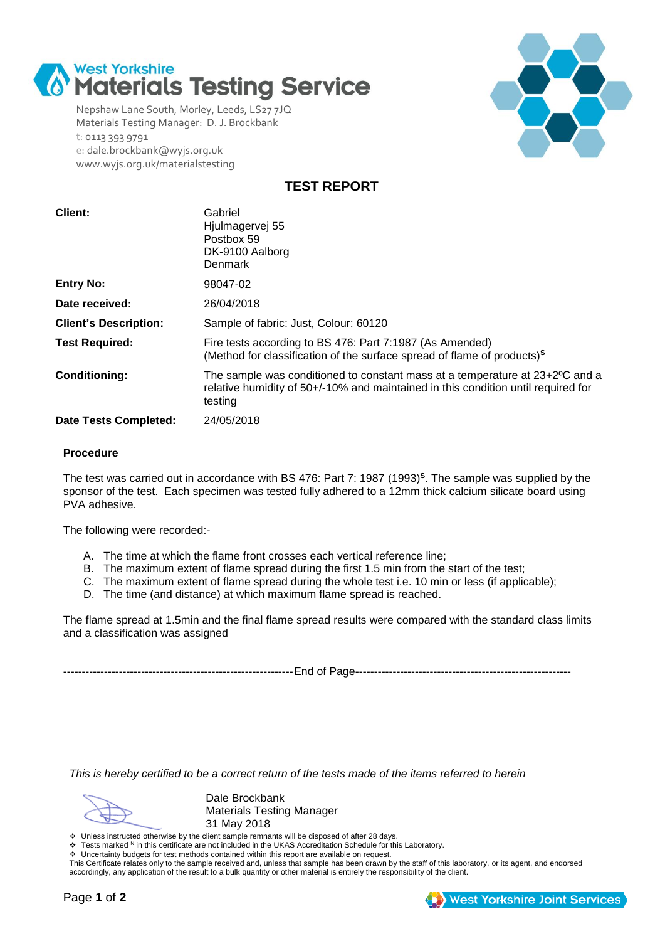

Nepshaw Lane South, Morley, Leeds, LS27 7JQ Materials Testing Manager: D. J. Brockbank t: 0113 393 9791 e: dale.brockbank@wyjs.org.uk www.wyjs.org.uk/materialstesting



**TEST REPORT**

| Client:                      | Gabriel<br>Hjulmagervej 55<br>Postbox 59<br>DK-9100 Aalborg<br><b>Denmark</b>                                                                                                |
|------------------------------|------------------------------------------------------------------------------------------------------------------------------------------------------------------------------|
| <b>Entry No:</b>             | 98047-02                                                                                                                                                                     |
| Date received:               | 26/04/2018                                                                                                                                                                   |
| <b>Client's Description:</b> | Sample of fabric: Just, Colour: 60120                                                                                                                                        |
| <b>Test Required:</b>        | Fire tests according to BS 476: Part 7:1987 (As Amended)<br>(Method for classification of the surface spread of flame of products) <sup>s</sup>                              |
| <b>Conditioning:</b>         | The sample was conditioned to constant mass at a temperature at 23+2°C and a<br>relative humidity of 50+/-10% and maintained in this condition until required for<br>testing |
| <b>Date Tests Completed:</b> | 24/05/2018                                                                                                                                                                   |

### **Procedure**

The test was carried out in accordance with BS 476: Part 7: 1987 (1993)**<sup>S</sup>** . The sample was supplied by the sponsor of the test. Each specimen was tested fully adhered to a 12mm thick calcium silicate board using PVA adhesive.

The following were recorded:-

- A. The time at which the flame front crosses each vertical reference line;
- B. The maximum extent of flame spread during the first 1.5 min from the start of the test;
- C. The maximum extent of flame spread during the whole test i.e. 10 min or less (if applicable);
- D. The time (and distance) at which maximum flame spread is reached.

The flame spread at 1.5min and the final flame spread results were compared with the standard class limits and a classification was assigned

--------------------------------------------------------------End of Page----------------------------------------------------------

*This is hereby certified to be a correct return of the tests made of the items referred to herein*

Dale Brockbank Materials Testing Manager 31 May 2018

Unless instructed otherwise by the client sample remnants will be disposed of after 28 days.<br>♦ Tests marked N in this certificate are not included in the UKAS Accreditation Schedule for this Laboratory.

Uncertainty budgets for test methods contained within this report are available on request.

This Certificate relates only to the sample received and, unless that sample has been drawn by the staff of this laboratory, or its agent, and endorsed accordingly, any application of the result to a bulk quantity or other material is entirely the responsibility of the client.